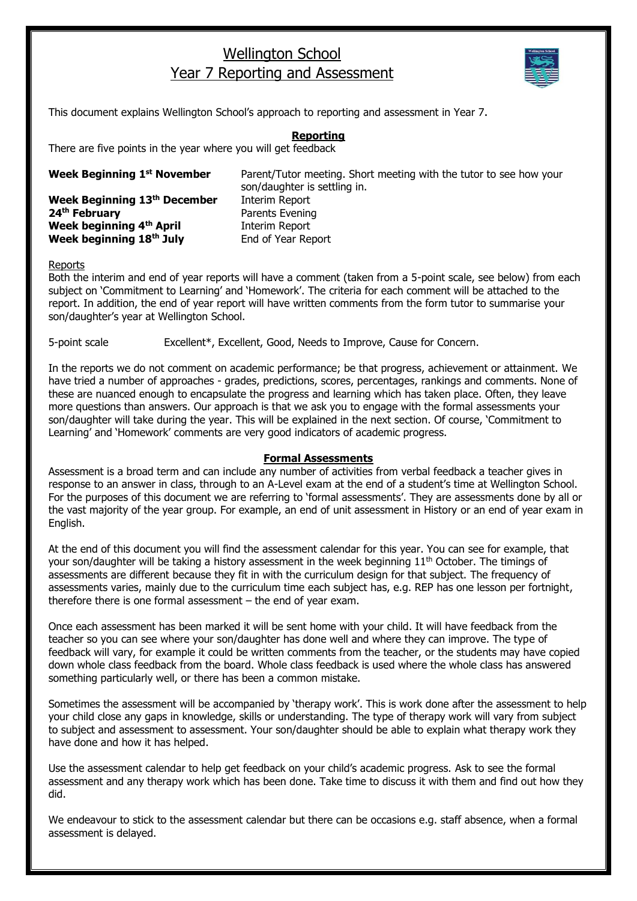## Wellington School Year 7 Reporting and Assessment



This document explains Wellington School's approach to reporting and assessment in Year 7.

## **Reporting**

There are five points in the year where you will get feedback

| Week Beginning 1 <sup>st</sup> November | Parent/Tutor meeting. Short meeting with the tutor to see how your<br>son/daughter is settling in. |
|-----------------------------------------|----------------------------------------------------------------------------------------------------|
| Week Beginning 13th December            | Interim Report                                                                                     |
| 24 <sup>th</sup> February               | Parents Evening                                                                                    |
| Week beginning 4th April                | Interim Report                                                                                     |
| Week beginning 18th July                | End of Year Report                                                                                 |

## Reports

Both the interim and end of year reports will have a comment (taken from a 5-point scale, see below) from each subject on 'Commitment to Learning' and 'Homework'. The criteria for each comment will be attached to the report. In addition, the end of year report will have written comments from the form tutor to summarise your son/daughter's year at Wellington School.

5-point scale Excellent\*, Excellent, Good, Needs to Improve, Cause for Concern.

In the reports we do not comment on academic performance; be that progress, achievement or attainment. We have tried a number of approaches - grades, predictions, scores, percentages, rankings and comments. None of these are nuanced enough to encapsulate the progress and learning which has taken place. Often, they leave more questions than answers. Our approach is that we ask you to engage with the formal assessments your son/daughter will take during the year. This will be explained in the next section. Of course, 'Commitment to Learning' and 'Homework' comments are very good indicators of academic progress.

## **Formal Assessments**

Assessment is a broad term and can include any number of activities from verbal feedback a teacher gives in response to an answer in class, through to an A-Level exam at the end of a student's time at Wellington School. For the purposes of this document we are referring to 'formal assessments'. They are assessments done by all or the vast majority of the year group. For example, an end of unit assessment in History or an end of year exam in English.

At the end of this document you will find the assessment calendar for this year. You can see for example, that your son/daughter will be taking a history assessment in the week beginning 11<sup>th</sup> October. The timings of assessments are different because they fit in with the curriculum design for that subject. The frequency of assessments varies, mainly due to the curriculum time each subject has, e.g. REP has one lesson per fortnight, therefore there is one formal assessment – the end of year exam.

Once each assessment has been marked it will be sent home with your child. It will have feedback from the teacher so you can see where your son/daughter has done well and where they can improve. The type of feedback will vary, for example it could be written comments from the teacher, or the students may have copied down whole class feedback from the board. Whole class feedback is used where the whole class has answered something particularly well, or there has been a common mistake.

Sometimes the assessment will be accompanied by 'therapy work'. This is work done after the assessment to help your child close any gaps in knowledge, skills or understanding. The type of therapy work will vary from subject to subject and assessment to assessment. Your son/daughter should be able to explain what therapy work they have done and how it has helped.

Use the assessment calendar to help get feedback on your child's academic progress. Ask to see the formal assessment and any therapy work which has been done. Take time to discuss it with them and find out how they did.

We endeavour to stick to the assessment calendar but there can be occasions e.g. staff absence, when a formal assessment is delayed.